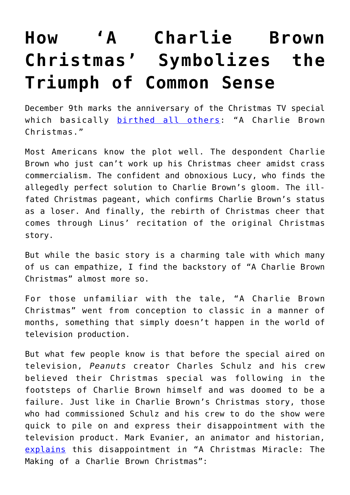## **[How 'A Charlie Brown](https://intellectualtakeout.org/2017/12/how-a-charlie-brown-christmas-symbolizes-the-triumph-of-common-sense/) [Christmas' Symbolizes the](https://intellectualtakeout.org/2017/12/how-a-charlie-brown-christmas-symbolizes-the-triumph-of-common-sense/) [Triumph of Common Sense](https://intellectualtakeout.org/2017/12/how-a-charlie-brown-christmas-symbolizes-the-triumph-of-common-sense/)**

December 9th marks the anniversary of the Christmas TV special which basically [birthed all others:](https://www.smithsonianmag.com/history/charlie-brown-christmas-special-history-television-classic-cbs-180957490/) "A Charlie Brown Christmas."

Most Americans know the plot well. The despondent Charlie Brown who just can't work up his Christmas cheer amidst crass commercialism. The confident and obnoxious Lucy, who finds the allegedly perfect solution to Charlie Brown's gloom. The illfated Christmas pageant, which confirms Charlie Brown's status as a loser. And finally, the rebirth of Christmas cheer that comes through Linus' recitation of the original Christmas story.

But while the basic story is a charming tale with which many of us can empathize, I find the backstory of "A Charlie Brown Christmas" almost more so.

For those unfamiliar with the tale, "A Charlie Brown Christmas" went from conception to classic in a manner of months, something that simply doesn't happen in the world of television production.

But what few people know is that before the special aired on television, *Peanuts* creator Charles Schulz and his crew believed their Christmas special was following in the footsteps of Charlie Brown himself and was doomed to be a failure. Just like in Charlie Brown's Christmas story, those who had commissioned Schulz and his crew to do the show were quick to pile on and express their disappointment with the television product. Mark Evanier, an animator and historian, [explains](https://www.youtube.com/watch?v=7zJRu0qitJE) this disappointment in "A Christmas Miracle: The Making of a Charlie Brown Christmas":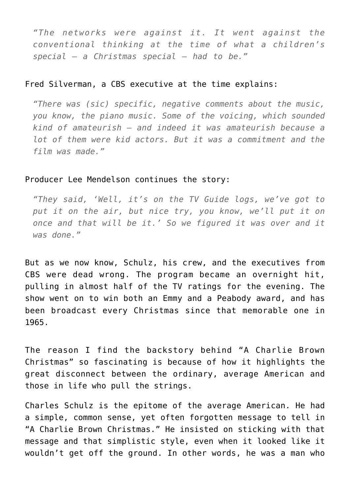*"The networks were against it. It went against the conventional thinking at the time of what a children's special – a Christmas special – had to be."*

## Fred Silverman, a CBS executive at the time explains:

*"There was (sic) specific, negative comments about the music, you know, the piano music. Some of the voicing, which sounded kind of amateurish – and indeed it was amateurish because a lot of them were kid actors. But it was a commitment and the film was made."*

## Producer Lee Mendelson continues the story:

*"They said, 'Well, it's on the TV Guide logs, we've got to put it on the air, but nice try, you know, we'll put it on once and that will be it.' So we figured it was over and it was done."*

But as we now know, Schulz, his crew, and the executives from CBS were dead wrong. The program became an overnight hit, pulling in almost half of the TV ratings for the evening. The show went on to win both an Emmy and a Peabody award, and has been broadcast every Christmas since that memorable one in 1965.

The reason I find the backstory behind "A Charlie Brown Christmas" so fascinating is because of how it highlights the great disconnect between the ordinary, average American and those in life who pull the strings.

Charles Schulz is the epitome of the average American. He had a simple, common sense, yet often forgotten message to tell in "A Charlie Brown Christmas." He insisted on sticking with that message and that simplistic style, even when it looked like it wouldn't get off the ground. In other words, he was a man who